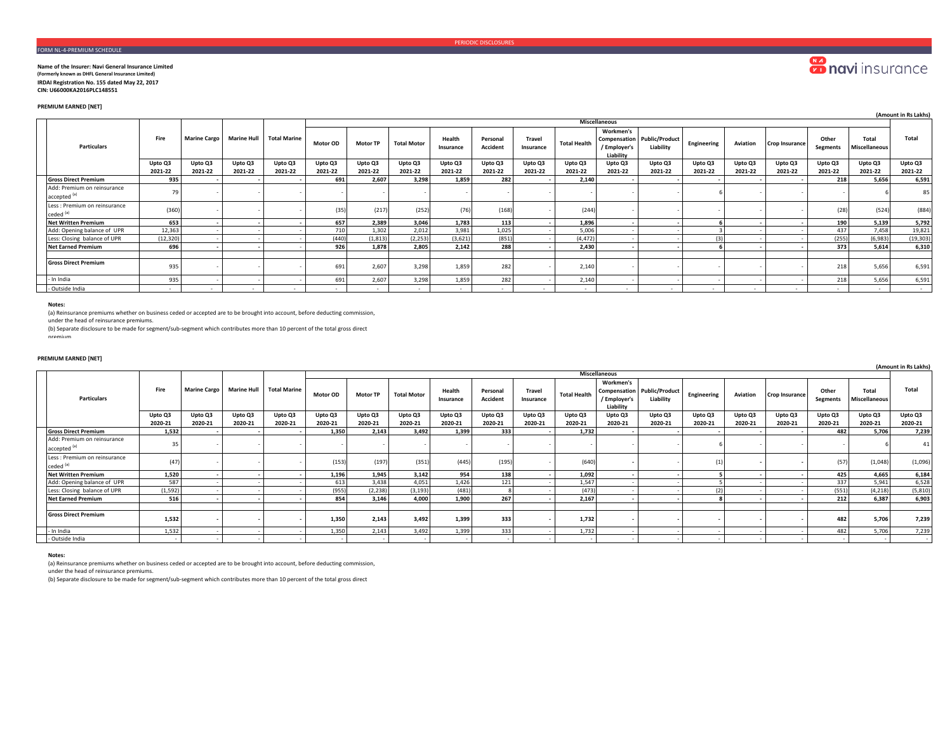# FORM NL-4-PREMIUM SCHEDULE

#### **Name of the Insurer: Navi General Insurance Limited (Formerly known as DHFL General Insurance Limited) IRDAI Registration No. 155 dated May 22, 2017**

**CIN: U66000KA2016PLC148551** 

# **PREMIUM EARNED [NET]**

|                                                        |           |                     |                    |                     |                      |                 |                    |                     |                      |                            |                     |                                        |                                                 |             |          |                |                   |                        | (Amount in Rs Lakhs) |
|--------------------------------------------------------|-----------|---------------------|--------------------|---------------------|----------------------|-----------------|--------------------|---------------------|----------------------|----------------------------|---------------------|----------------------------------------|-------------------------------------------------|-------------|----------|----------------|-------------------|------------------------|----------------------|
|                                                        |           |                     |                    |                     | <b>Miscellaneous</b> |                 |                    |                     |                      |                            |                     |                                        |                                                 |             |          |                |                   |                        |                      |
| Particulars                                            | Fire      | <b>Marine Cargo</b> | <b>Marine Hull</b> | <b>Total Marine</b> | <b>Motor OD</b>      | <b>Motor TP</b> | <b>Total Motor</b> | Health<br>Insurance | Personal<br>Accident | <b>Travel</b><br>Insurance | <b>Total Health</b> | Workmen's<br>/ Employer's<br>Liability | <b>Compensation Public/Product</b><br>Liability | Engineering | Aviation | Crop Insurance | Other<br>Segments | Total<br>Miscellaneous | Total                |
|                                                        | Upto Q3   | Upto Q3             | Upto Q3            | Upto Q3             | Upto Q3              | Upto Q3         | Upto Q3            | Upto Q3             | Upto Q3              | Upto Q3                    | Upto Q3             | Upto Q3                                | Upto Q3                                         | Upto Q3     | Upto Q3  | Upto Q3        | Upto Q3           | Upto Q3                | Upto Q3              |
|                                                        | 2021-22   | 2021-22             | 2021-22            | 2021-22             | 2021-22              | 2021-22         | 2021-22            | 2021-22             | 2021-22              | 2021-22                    | 2021-22             | 2021-22                                | 2021-22                                         | 2021-22     | 2021-22  | 2021-22        | 2021-22           | 2021-22                | 2021-22              |
| <b>Gross Direct Premium</b>                            | 935       |                     |                    |                     | 691                  | 2.607           | 3.298              | 1.859               | 282                  |                            | 2.140               |                                        |                                                 |             |          |                | 218               | 5.656                  | 6,591                |
| Add: Premium on reinsurance<br>accepted <sup>(a)</sup> | 79        |                     |                    |                     |                      |                 |                    |                     |                      |                            |                     |                                        |                                                 |             |          |                |                   |                        | 85                   |
| Less : Premium on reinsurance<br>ceded <sup>(a)</sup>  | (360)     |                     |                    |                     | (35)                 | (217)           | (252)              | (76)                | (168)                |                            | (244)               |                                        |                                                 |             |          |                | (28)              | (524)                  | (884)                |
| <b>Net Written Premium</b>                             | 653       |                     |                    |                     | 657                  | 2,389           | 3,046              | 1,783               | 113                  |                            | 1,896               |                                        |                                                 |             |          |                | 190               | 5.139                  | 5,792                |
| Add: Opening balance of UPR                            | 12,363    |                     |                    |                     | 710                  | 1,302           | 2,012              | 3,981               | 1,025                |                            | 5,006               |                                        |                                                 |             |          |                | 437               | 7.458                  | 19,821               |
| Less: Closing balance of UPR                           | (12, 320) |                     |                    |                     | (440)                | (1, 813)        | (2, 253)           | (3,621)             | (851)                |                            | (4, 472)            |                                        |                                                 | 13          |          |                | (255)             | (6,983)                | (19, 303)            |
| <b>Net Earned Premium</b>                              | 696       |                     |                    |                     | 926                  | 1,878           | 2,805              | 2.142               | 288                  |                            | 2,430               |                                        |                                                 |             |          |                | 373               | 5.614                  | 6,310                |
|                                                        |           |                     |                    |                     |                      |                 |                    |                     |                      |                            |                     |                                        |                                                 |             |          |                |                   |                        |                      |
| <b>Gross Direct Premium</b>                            | 935       |                     |                    |                     | 691                  | 2,607           | 3,298              | 1,859               | 282                  |                            | 2,140               |                                        |                                                 |             |          |                | 218               | 5,656                  | 6,591                |
| - In India                                             | 935       |                     |                    |                     | 691                  | 2,607           | 3,298              | 1,859               | 282                  |                            | 2,140               |                                        |                                                 |             |          |                | 218               | 5,656                  | 6,591                |
| - Outside India                                        |           | $\sim$              |                    |                     |                      | $\sim$          |                    | $\sim$              |                      | $\sim$                     |                     |                                        |                                                 | $\sim$      |          |                | $\sim$            | $\sim$                 | <b>Service</b>       |

## **Notes:**

(a) Reinsurance premiums whether on business ceded or accepted are to be brought into account, before deducting commission,

under the head of reinsurance premiums.

(b) Separate disclosure to be made for segment/sub-segment which contributes more than 10 percent of the total gross direct

## premium

## **PREMIUM EARNED [NET]**

|  | . .                                                    |         |              |                    |                     |          |                 |                    |                     |                             |                            |                     |                                        |                                                 |             |          |                       |                          |                               | (Amount in Rs Lakhs) |
|--|--------------------------------------------------------|---------|--------------|--------------------|---------------------|----------|-----------------|--------------------|---------------------|-----------------------------|----------------------------|---------------------|----------------------------------------|-------------------------------------------------|-------------|----------|-----------------------|--------------------------|-------------------------------|----------------------|
|  | <b>Particulars</b>                                     |         |              |                    |                     |          |                 |                    |                     |                             |                            |                     | Miscellaneous                          |                                                 |             |          |                       |                          |                               |                      |
|  |                                                        | Fire    | Marine Cargo | <b>Marine Hull</b> | <b>Total Marine</b> | Motor OD | <b>Motor TP</b> | <b>Total Motor</b> | Health<br>Insurance | Personal<br><b>Accident</b> | <b>Travel</b><br>Insurance | <b>Total Health</b> | Workmen's<br>/ Employer's<br>Liability | <b>Compensation Public/Product</b><br>Liability | Engineering | Aviation | <b>Crop Insurance</b> | Other<br><b>Segments</b> | <b>Total</b><br>Miscellaneous | Total                |
|  |                                                        | Upto Q3 | Upto Q3      | Upto Q3            | Upto Q3             | Upto Q3  | Upto Q3         | Upto Q3            | Upto Q3             | Upto Q3                     | Upto Q3                    | Upto Q3             | Upto Q3                                | Upto Q3                                         | Upto Q3     | Upto Q3  | Upto Q3               | Upto Q3                  | Upto Q3                       | Upto Q3              |
|  |                                                        | 2020-21 | 2020-21      | 2020-21            | 2020-21             | 2020-21  | 2020-21         | 2020-21            | 2020-21             | 2020-21                     | 2020-21                    | 2020-21             | 2020-21                                | 2020-21                                         | 2020-21     | 2020-21  | 2020-21               | 2020-21                  | 2020-21                       | 2020-21              |
|  | <b>Gross Direct Premium</b>                            | 1.532   |              |                    |                     | 1.350    | 2.143           | 3.492              | 1.399               | 333                         |                            | 1.732               |                                        |                                                 |             |          |                       | 482                      | 5.706                         | 7,239                |
|  | Add: Premium on reinsurance<br>accepted <sup>(a)</sup> | 35      |              |                    |                     |          |                 |                    |                     |                             |                            |                     |                                        |                                                 |             |          |                       |                          |                               | 41                   |
|  | Less : Premium on reinsurance<br>ceded <sup>(a)</sup>  | (47)    |              |                    |                     | (153)    | (197)           | (351)              | (445)               | (195)                       |                            | (640)               |                                        |                                                 |             |          |                       | (57)                     | (1,048)                       | (1,096)              |
|  | <b>Net Written Premium</b>                             | 1,520   |              |                    |                     | 1.196    | 1,945           | 3.142              | 954                 | 138                         |                            | 1.092               |                                        |                                                 |             |          |                       | 425                      | 4.665                         | 6,184                |
|  | Add: Opening balance of UPR                            | 587     |              |                    |                     | 613      | 3,438           | 4,051              | 1,426               | 121                         |                            | 1,547               |                                        |                                                 |             |          |                       | 337                      | 5,941                         | 6,528                |
|  | Less: Closing balance of UPR                           | (1,592) |              |                    |                     | (955)    | (2.238)         | (3, 193)           | (481)               |                             |                            | (473)               |                                        |                                                 |             |          |                       | (551)                    | (4, 218)                      | (5, 810)             |
|  | <b>Net Earned Premium</b>                              | 516     |              |                    |                     | 854      | 3.146           | 4,000              | 1.900               | 267                         |                            | 2.167               |                                        |                                                 |             |          |                       | 212                      | 6.387                         | 6,903                |
|  |                                                        |         |              |                    |                     |          |                 |                    |                     |                             |                            |                     |                                        |                                                 |             |          |                       |                          |                               |                      |
|  | <b>Gross Direct Premium</b>                            | 1,532   |              |                    |                     | 1,350    | 2,143           | 3.492              | 1,399               | 333                         |                            | 1,732               |                                        |                                                 |             |          |                       | 482                      | 5,706                         | 7,239                |
|  | - In India                                             | 1,532   |              |                    |                     | 1,350    | 2,143           | 3,492              | 1,399               | 333                         |                            | 1,732               |                                        |                                                 |             |          |                       | 482                      | 5,706                         | 7,239                |
|  | - Outside India                                        |         |              |                    |                     |          |                 |                    |                     |                             |                            |                     |                                        |                                                 |             |          |                       |                          |                               | $\sim$               |

#### **Notes:**

(a) Reinsurance premiums whether on business ceded or accepted are to be brought into account, before deducting commission,

under the head of reinsurance premiums.

(b) Separate disclosure to be made for segment/sub-segment which contributes more than 10 percent of the total gross direct